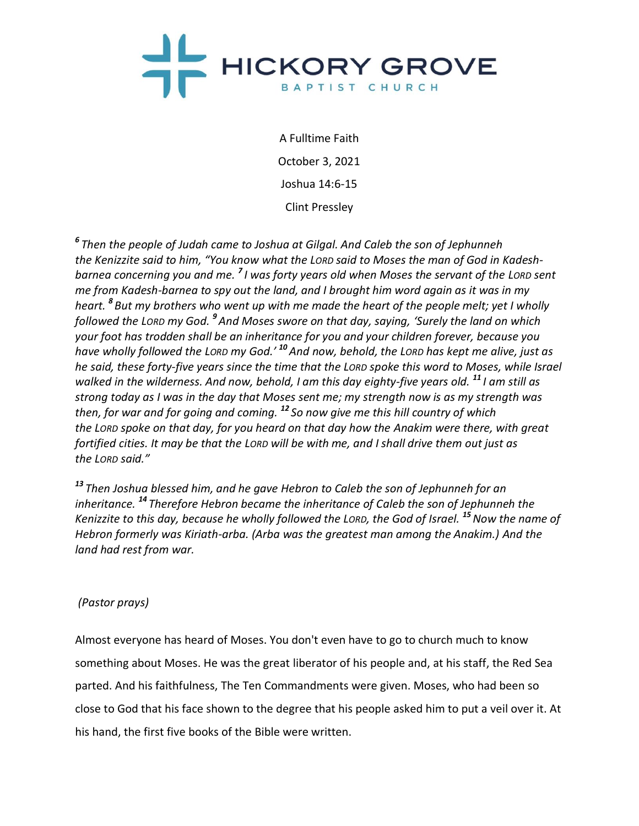

A Fulltime Faith October 3, 2021 Joshua 14:6-15 Clint Pressley

*6 Then the people of Judah came to Joshua at Gilgal. And Caleb the son of Jephunneh the Kenizzite said to him, "You know what the LORD said to Moses the man of God in Kadeshbarnea concerning you and me. <sup>7</sup> I was forty years old when Moses the servant of the LORD sent me from Kadesh-barnea to spy out the land, and I brought him word again as it was in my heart. <sup>8</sup> But my brothers who went up with me made the heart of the people melt; yet I wholly followed the LORD my God. <sup>9</sup> And Moses swore on that day, saying, 'Surely the land on which your foot has trodden shall be an inheritance for you and your children forever, because you have wholly followed the LORD my God.' <sup>10</sup>And now, behold, the LORD has kept me alive, just as he said, these forty-five years since the time that the LORD spoke this word to Moses, while Israel walked in the wilderness. And now, behold, I am this day eighty-five years old. <sup>11</sup> I am still as strong today as I was in the day that Moses sent me; my strength now is as my strength was then, for war and for going and coming. <sup>12</sup> So now give me this hill country of which the LORD spoke on that day, for you heard on that day how the Anakim were there, with great fortified cities. It may be that the LORD will be with me, and I shall drive them out just as the LORD said."*

*<sup>13</sup> Then Joshua blessed him, and he gave Hebron to Caleb the son of Jephunneh for an inheritance. <sup>14</sup> Therefore Hebron became the inheritance of Caleb the son of Jephunneh the Kenizzite to this day, because he wholly followed the LORD, the God of Israel. <sup>15</sup>Now the name of Hebron formerly was Kiriath-arba. (Arba was the greatest man among the Anakim.) And the land had rest from war.*

# *(Pastor prays)*

Almost everyone has heard of Moses. You don't even have to go to church much to know something about Moses. He was the great liberator of his people and, at his staff, the Red Sea parted. And his faithfulness, The Ten Commandments were given. Moses, who had been so close to God that his face shown to the degree that his people asked him to put a veil over it. At his hand, the first five books of the Bible were written.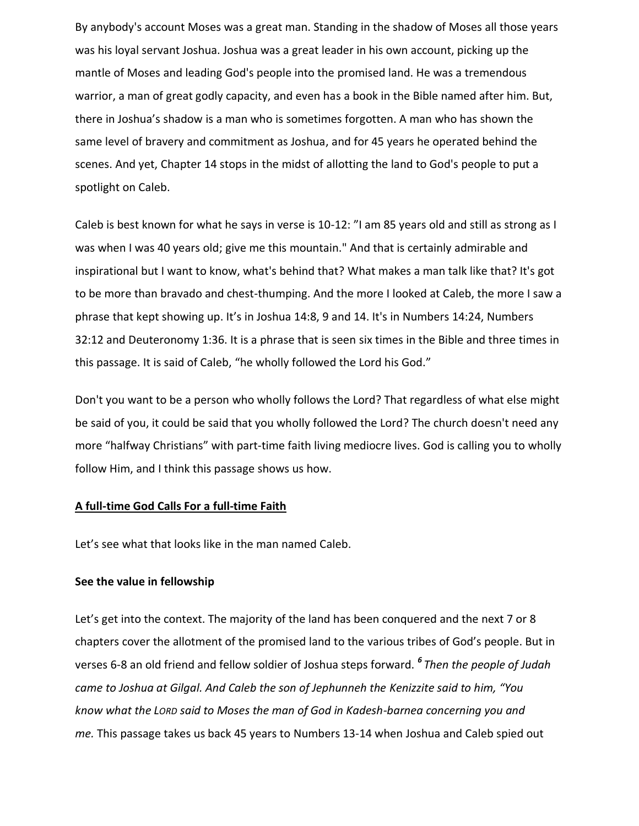By anybody's account Moses was a great man. Standing in the shadow of Moses all those years was his loyal servant Joshua. Joshua was a great leader in his own account, picking up the mantle of Moses and leading God's people into the promised land. He was a tremendous warrior, a man of great godly capacity, and even has a book in the Bible named after him. But, there in Joshua's shadow is a man who is sometimes forgotten. A man who has shown the same level of bravery and commitment as Joshua, and for 45 years he operated behind the scenes. And yet, Chapter 14 stops in the midst of allotting the land to God's people to put a spotlight on Caleb.

Caleb is best known for what he says in verse is 10-12: "I am 85 years old and still as strong as I was when I was 40 years old; give me this mountain." And that is certainly admirable and inspirational but I want to know, what's behind that? What makes a man talk like that? It's got to be more than bravado and chest-thumping. And the more I looked at Caleb, the more I saw a phrase that kept showing up. It's in Joshua 14:8, 9 and 14. It's in Numbers 14:24, Numbers 32:12 and Deuteronomy 1:36. It is a phrase that is seen six times in the Bible and three times in this passage. It is said of Caleb, "he wholly followed the Lord his God."

Don't you want to be a person who wholly follows the Lord? That regardless of what else might be said of you, it could be said that you wholly followed the Lord? The church doesn't need any more "halfway Christians" with part-time faith living mediocre lives. God is calling you to wholly follow Him, and I think this passage shows us how.

#### **A full-time God Calls For a full-time Faith**

Let's see what that looks like in the man named Caleb.

#### **See the value in fellowship**

Let's get into the context. The majority of the land has been conquered and the next 7 or 8 chapters cover the allotment of the promised land to the various tribes of God's people. But in verses 6-8 an old friend and fellow soldier of Joshua steps forward. *<sup>6</sup> Then the people of Judah came to Joshua at Gilgal. And Caleb the son of Jephunneh the Kenizzite said to him, "You know what the LORD said to Moses the man of God in Kadesh-barnea concerning you and me.* This passage takes us back 45 years to Numbers 13-14 when Joshua and Caleb spied out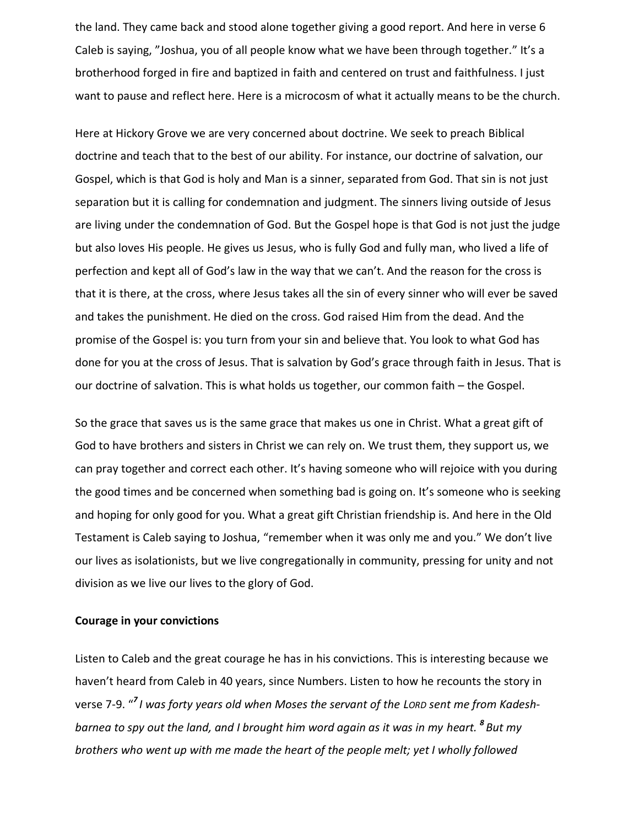the land. They came back and stood alone together giving a good report. And here in verse 6 Caleb is saying, "Joshua, you of all people know what we have been through together." It's a brotherhood forged in fire and baptized in faith and centered on trust and faithfulness. I just want to pause and reflect here. Here is a microcosm of what it actually means to be the church.

Here at Hickory Grove we are very concerned about doctrine. We seek to preach Biblical doctrine and teach that to the best of our ability. For instance, our doctrine of salvation, our Gospel, which is that God is holy and Man is a sinner, separated from God. That sin is not just separation but it is calling for condemnation and judgment. The sinners living outside of Jesus are living under the condemnation of God. But the Gospel hope is that God is not just the judge but also loves His people. He gives us Jesus, who is fully God and fully man, who lived a life of perfection and kept all of God's law in the way that we can't. And the reason for the cross is that it is there, at the cross, where Jesus takes all the sin of every sinner who will ever be saved and takes the punishment. He died on the cross. God raised Him from the dead. And the promise of the Gospel is: you turn from your sin and believe that. You look to what God has done for you at the cross of Jesus. That is salvation by God's grace through faith in Jesus. That is our doctrine of salvation. This is what holds us together, our common faith – the Gospel.

So the grace that saves us is the same grace that makes us one in Christ. What a great gift of God to have brothers and sisters in Christ we can rely on. We trust them, they support us, we can pray together and correct each other. It's having someone who will rejoice with you during the good times and be concerned when something bad is going on. It's someone who is seeking and hoping for only good for you. What a great gift Christian friendship is. And here in the Old Testament is Caleb saying to Joshua, "remember when it was only me and you." We don't live our lives as isolationists, but we live congregationally in community, pressing for unity and not division as we live our lives to the glory of God.

#### **Courage in your convictions**

Listen to Caleb and the great courage he has in his convictions. This is interesting because we haven't heard from Caleb in 40 years, since Numbers. Listen to how he recounts the story in verse 7-9. " *7 I was forty years old when Moses the servant of the LORD sent me from Kadeshbarnea to spy out the land, and I brought him word again as it was in my heart. <sup>8</sup> But my brothers who went up with me made the heart of the people melt; yet I wholly followed*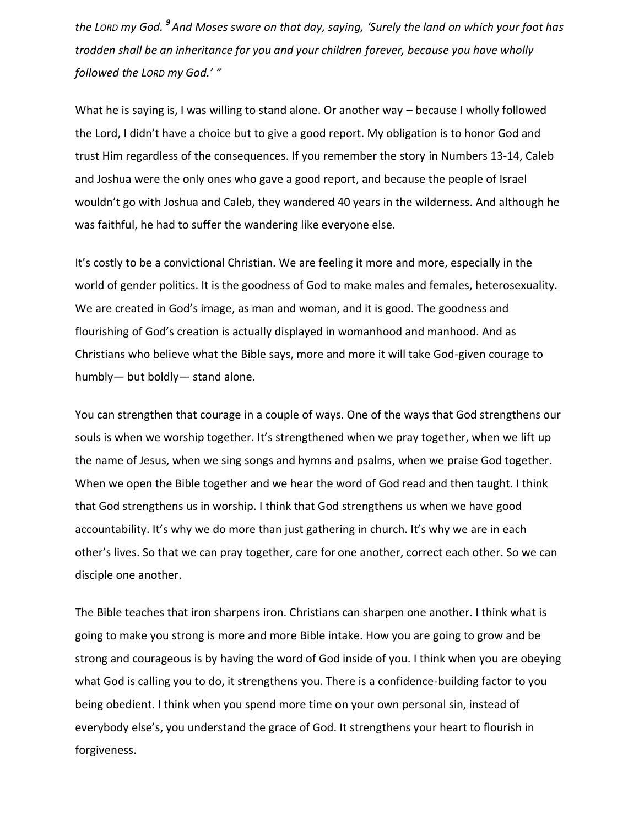*the LORD my God. <sup>9</sup> And Moses swore on that day, saying, 'Surely the land on which your foot has trodden shall be an inheritance for you and your children forever, because you have wholly followed the LORD my God.' "*

What he is saying is, I was willing to stand alone. Or another way – because I wholly followed the Lord, I didn't have a choice but to give a good report. My obligation is to honor God and trust Him regardless of the consequences. If you remember the story in Numbers 13-14, Caleb and Joshua were the only ones who gave a good report, and because the people of Israel wouldn't go with Joshua and Caleb, they wandered 40 years in the wilderness. And although he was faithful, he had to suffer the wandering like everyone else.

It's costly to be a convictional Christian. We are feeling it more and more, especially in the world of gender politics. It is the goodness of God to make males and females, heterosexuality. We are created in God's image, as man and woman, and it is good. The goodness and flourishing of God's creation is actually displayed in womanhood and manhood. And as Christians who believe what the Bible says, more and more it will take God-given courage to humbly— but boldly— stand alone.

You can strengthen that courage in a couple of ways. One of the ways that God strengthens our souls is when we worship together. It's strengthened when we pray together, when we lift up the name of Jesus, when we sing songs and hymns and psalms, when we praise God together. When we open the Bible together and we hear the word of God read and then taught. I think that God strengthens us in worship. I think that God strengthens us when we have good accountability. It's why we do more than just gathering in church. It's why we are in each other's lives. So that we can pray together, care for one another, correct each other. So we can disciple one another.

The Bible teaches that iron sharpens iron. Christians can sharpen one another. I think what is going to make you strong is more and more Bible intake. How you are going to grow and be strong and courageous is by having the word of God inside of you. I think when you are obeying what God is calling you to do, it strengthens you. There is a confidence-building factor to you being obedient. I think when you spend more time on your own personal sin, instead of everybody else's, you understand the grace of God. It strengthens your heart to flourish in forgiveness.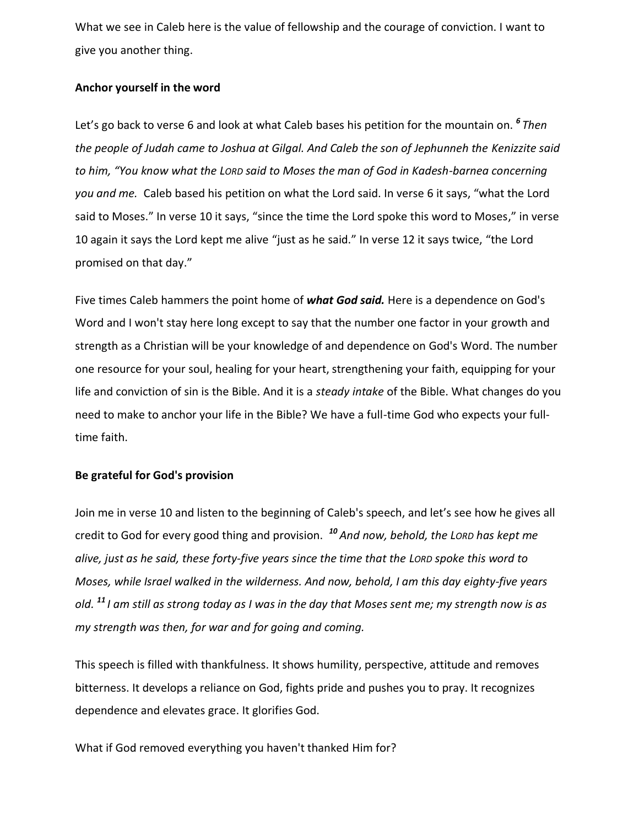What we see in Caleb here is the value of fellowship and the courage of conviction. I want to give you another thing.

## **Anchor yourself in the word**

Let's go back to verse 6 and look at what Caleb bases his petition for the mountain on. *<sup>6</sup> Then the people of Judah came to Joshua at Gilgal. And Caleb the son of Jephunneh the Kenizzite said to him, "You know what the LORD said to Moses the man of God in Kadesh-barnea concerning you and me.* Caleb based his petition on what the Lord said. In verse 6 it says, "what the Lord said to Moses." In verse 10 it says, "since the time the Lord spoke this word to Moses," in verse 10 again it says the Lord kept me alive "just as he said." In verse 12 it says twice, "the Lord promised on that day."

Five times Caleb hammers the point home of *what God said.* Here is a dependence on God's Word and I won't stay here long except to say that the number one factor in your growth and strength as a Christian will be your knowledge of and dependence on God's Word. The number one resource for your soul, healing for your heart, strengthening your faith, equipping for your life and conviction of sin is the Bible. And it is a *steady intake* of the Bible. What changes do you need to make to anchor your life in the Bible? We have a full-time God who expects your fulltime faith.

# **Be grateful for God's provision**

Join me in verse 10 and listen to the beginning of Caleb's speech, and let's see how he gives all credit to God for every good thing and provision. *<sup>10</sup> And now, behold, the LORD has kept me alive, just as he said, these forty-five years since the time that the LORD spoke this word to Moses, while Israel walked in the wilderness. And now, behold, I am this day eighty-five years old. <sup>11</sup> I am still as strong today as I was in the day that Moses sent me; my strength now is as my strength was then, for war and for going and coming.*

This speech is filled with thankfulness. It shows humility, perspective, attitude and removes bitterness. It develops a reliance on God, fights pride and pushes you to pray. It recognizes dependence and elevates grace. It glorifies God.

What if God removed everything you haven't thanked Him for?